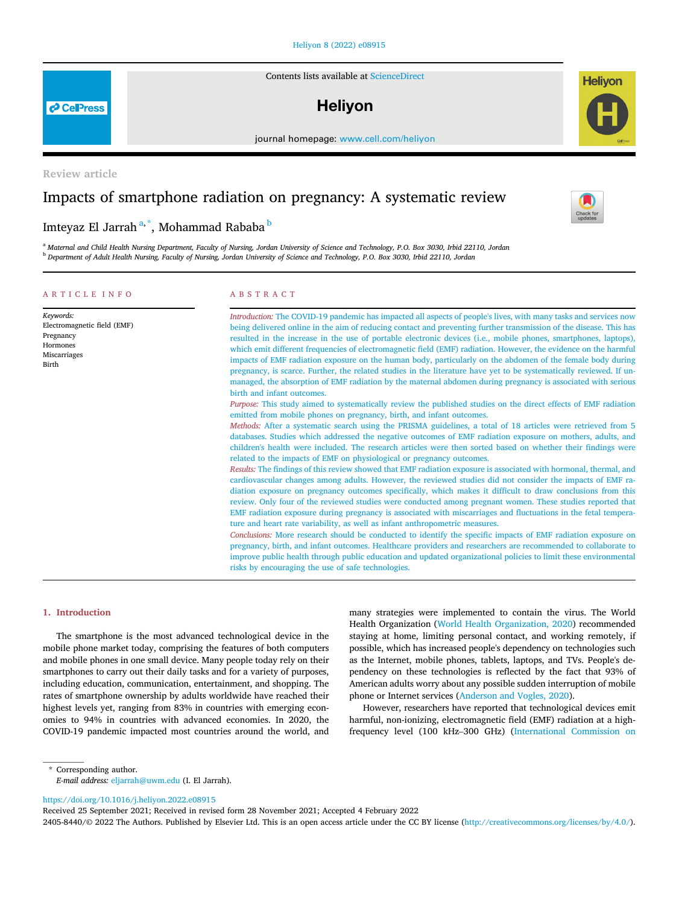#### [Heliyon 8 \(2022\) e08915](https://doi.org/10.1016/j.heliyon.2022.e08915)

Contents lists available at [ScienceDirect](www.sciencedirect.com/science/journal/24058440)

# **Helivon**

journal homepage: [www.cell.com/heliyon](http://www.cell.com/heliyon)

Review article

# Impacts of smartphone radiation on pregnancy: A systematic review

## Imteyaz El Jarrah<sup>[a,](#page-0-0) [\\*](#page-0-1)</sup>, Mohammad Ra[b](#page-0-2)aba <sup>b</sup>

<span id="page-0-2"></span><span id="page-0-0"></span><sup>a</sup> Maternal and Child Health Nursing Department, Faculty of Nursing, Jordan University of Science and Technology, P.O. Box 3030, Irbid 22110, Jordan <sup>b</sup> Department of Adult Health Nursing, Faculty of Nursing, Jordan University of Science and Technology, P.O. Box 3030, Irbid 22110, Jordan

#### ARTICLE INFO

#### ABSTRACT

| Keywords:                                                                     | Introduction: The COVID-19 pandemic has impacted all aspects of people's lives, with many tasks and services now                                                                                                                                                                                                                                                                                                                                                                                                                                                                                                                                                                                                                                                                                                                                                                                                                                                                                                                                                                                                                                                                                                                                                                                                                                                                                                                                                                                                                                                                                                                                                                                                                                                                                                                                                                                                                                                                                                                                                                                                                                                                                                                                                              |
|-------------------------------------------------------------------------------|-------------------------------------------------------------------------------------------------------------------------------------------------------------------------------------------------------------------------------------------------------------------------------------------------------------------------------------------------------------------------------------------------------------------------------------------------------------------------------------------------------------------------------------------------------------------------------------------------------------------------------------------------------------------------------------------------------------------------------------------------------------------------------------------------------------------------------------------------------------------------------------------------------------------------------------------------------------------------------------------------------------------------------------------------------------------------------------------------------------------------------------------------------------------------------------------------------------------------------------------------------------------------------------------------------------------------------------------------------------------------------------------------------------------------------------------------------------------------------------------------------------------------------------------------------------------------------------------------------------------------------------------------------------------------------------------------------------------------------------------------------------------------------------------------------------------------------------------------------------------------------------------------------------------------------------------------------------------------------------------------------------------------------------------------------------------------------------------------------------------------------------------------------------------------------------------------------------------------------------------------------------------------------|
| Electromagnetic field (EMF)<br>Pregnancy<br>Hormones<br>Miscarriages<br>Birth | being delivered online in the aim of reducing contact and preventing further transmission of the disease. This has<br>resulted in the increase in the use of portable electronic devices (i.e., mobile phones, smartphones, laptops),<br>which emit different frequencies of electromagnetic field (EMF) radiation. However, the evidence on the harmful<br>impacts of EMF radiation exposure on the human body, particularly on the abdomen of the female body during<br>pregnancy, is scarce. Further, the related studies in the literature have yet to be systematically reviewed. If un-<br>managed, the absorption of EMF radiation by the maternal abdomen during pregnancy is associated with serious<br>birth and infant outcomes.<br><i>Purpose:</i> This study aimed to systematically review the published studies on the direct effects of EMF radiation<br>emitted from mobile phones on pregnancy, birth, and infant outcomes.<br><i>Methods:</i> After a systematic search using the PRISMA guidelines, a total of 18 articles were retrieved from 5<br>databases. Studies which addressed the negative outcomes of EMF radiation exposure on mothers, adults, and<br>children's health were included. The research articles were then sorted based on whether their findings were<br>related to the impacts of EMF on physiological or pregnancy outcomes.<br>Results: The findings of this review showed that EMF radiation exposure is associated with hormonal, thermal, and<br>cardiovascular changes among adults. However, the reviewed studies did not consider the impacts of EMF ra-<br>diation exposure on pregnancy outcomes specifically, which makes it difficult to draw conclusions from this<br>review. Only four of the reviewed studies were conducted among pregnant women. These studies reported that<br>EMF radiation exposure during pregnancy is associated with miscarriages and fluctuations in the fetal tempera-<br>ture and heart rate variability, as well as infant anthropometric measures.<br>Conclusions: More research should be conducted to identify the specific impacts of EMF radiation exposure on<br>pregnancy, birth, and infant outcomes. Healthcare providers and researchers are recommended to collaborate to |
|                                                                               | improve public health through public education and updated organizational policies to limit these environmental<br>risks by encouraging the use of safe technologies.                                                                                                                                                                                                                                                                                                                                                                                                                                                                                                                                                                                                                                                                                                                                                                                                                                                                                                                                                                                                                                                                                                                                                                                                                                                                                                                                                                                                                                                                                                                                                                                                                                                                                                                                                                                                                                                                                                                                                                                                                                                                                                         |

#### 1. Introduction

The smartphone is the most advanced technological device in the mobile phone market today, comprising the features of both computers and mobile phones in one small device. Many people today rely on their smartphones to carry out their daily tasks and for a variety of purposes, including education, communication, entertainment, and shopping. The rates of smartphone ownership by adults worldwide have reached their highest levels yet, ranging from 83% in countries with emerging economies to 94% in countries with advanced economies. In 2020, the COVID-19 pandemic impacted most countries around the world, and many strategies were implemented to contain the virus. The World Health Organization ([World Health Organization, 2020](#page-7-0)) recommended staying at home, limiting personal contact, and working remotely, if possible, which has increased people's dependency on technologies such as the Internet, mobile phones, tablets, laptops, and TVs. People's dependency on these technologies is reflected by the fact that 93% of American adults worry about any possible sudden interruption of mobile phone or Internet services [\(Anderson and Vogles, 2020](#page-7-1)).

However, researchers have reported that technological devices emit harmful, non-ionizing, electromagnetic field (EMF) radiation at a highfrequency level (100 kHz–300 GHz) [\(International Commission on](#page-7-2)

<span id="page-0-1"></span>\* Corresponding author. E-mail address: [eljarrah@uwm.edu](mailto:eljarrah@uwm.edu) (I. El Jarrah).

<https://doi.org/10.1016/j.heliyon.2022.e08915>

Received 25 September 2021; Received in revised form 28 November 2021; Accepted 4 February 2022

2405-8440/© 2022 The Authors. Published by Elsevier Ltd. This is an open access article under the CC BY license ([http://creativecommons.org/licenses/by/4.0/\)](http://creativecommons.org/licenses/by/4.0/).



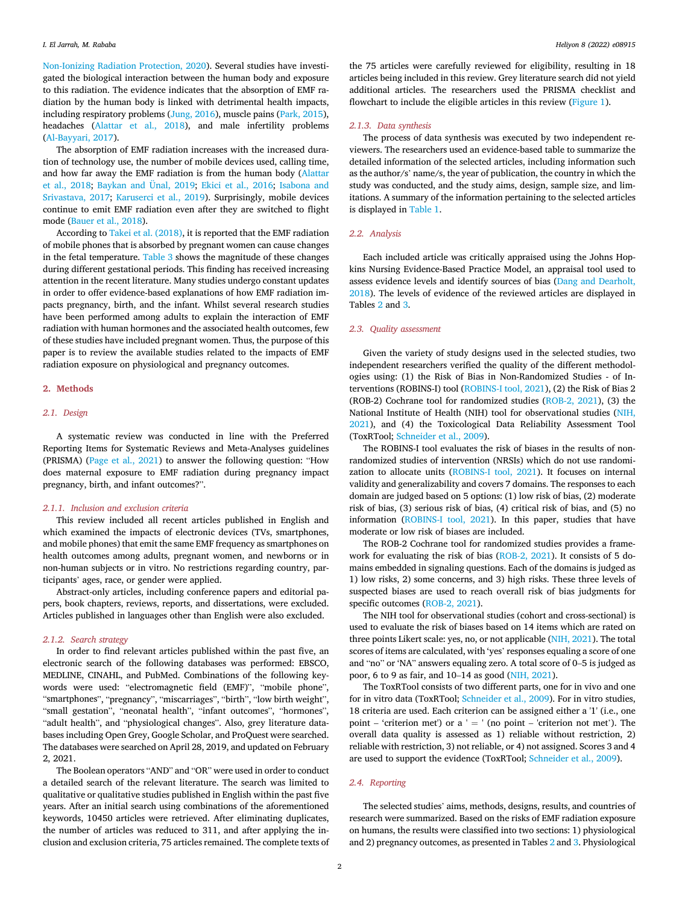[Non-Ionizing Radiation Protection, 2020\)](#page-7-2). Several studies have investigated the biological interaction between the human body and exposure to this radiation. The evidence indicates that the absorption of EMF radiation by the human body is linked with detrimental health impacts, including respiratory problems ([Jung, 2016\)](#page-7-3), muscle pains ([Park, 2015\)](#page-7-4), headaches [\(Alattar et al., 2018](#page-7-5)), and male infertility problems ([Al-Bayyari, 2017\)](#page-7-6).

The absorption of EMF radiation increases with the increased duration of technology use, the number of mobile devices used, calling time, and how far away the EMF radiation is from the human body ([Alattar](#page-7-5) [et al., 2018;](#page-7-5) [Baykan and Ünal, 2019](#page-7-7); [Ekici et al., 2016;](#page-7-8) [Isabona and](#page-7-9) [Srivastava, 2017;](#page-7-9) [Karuserci et al., 2019\)](#page-7-10). Surprisingly, mobile devices continue to emit EMF radiation even after they are switched to flight mode [\(Bauer et al., 2018\)](#page-7-11).

According to [Takei et al. \(2018\),](#page-7-12) it is reported that the EMF radiation of mobile phones that is absorbed by pregnant women can cause changes in the fetal temperature. [Table 3](#page-4-0) shows the magnitude of these changes during different gestational periods. This finding has received increasing attention in the recent literature. Many studies undergo constant updates in order to offer evidence-based explanations of how EMF radiation impacts pregnancy, birth, and the infant. Whilst several research studies have been performed among adults to explain the interaction of EMF radiation with human hormones and the associated health outcomes, few of these studies have included pregnant women. Thus, the purpose of this paper is to review the available studies related to the impacts of EMF radiation exposure on physiological and pregnancy outcomes.

#### 2. Methods

#### 2.1. Design

A systematic review was conducted in line with the Preferred Reporting Items for Systematic Reviews and Meta-Analyses guidelines (PRISMA) [\(Page et al., 2021](#page-7-13)) to answer the following question: "How does maternal exposure to EMF radiation during pregnancy impact pregnancy, birth, and infant outcomes?".

#### 2.1.1. Inclusion and exclusion criteria

This review included all recent articles published in English and which examined the impacts of electronic devices (TVs, smartphones, and mobile phones) that emit the same EMF frequency as smartphones on health outcomes among adults, pregnant women, and newborns or in non-human subjects or in vitro. No restrictions regarding country, participants' ages, race, or gender were applied.

Abstract-only articles, including conference papers and editorial papers, book chapters, reviews, reports, and dissertations, were excluded. Articles published in languages other than English were also excluded.

#### 2.1.2. Search strategy

In order to find relevant articles published within the past five, an electronic search of the following databases was performed: EBSCO, MEDLINE, CINAHL, and PubMed. Combinations of the following keywords were used: "electromagnetic field (EMF)", "mobile phone", "smartphones", "pregnancy", "miscarriages", "birth", "low birth weight", "small gestation", "neonatal health", "infant outcomes", "hormones", "adult health", and "physiological changes". Also, grey literature databases including Open Grey, Google Scholar, and ProQuest were searched. The databases were searched on April 28, 2019, and updated on February 2, 2021.

The Boolean operators "AND" and "OR" were used in order to conduct a detailed search of the relevant literature. The search was limited to qualitative or qualitative studies published in English within the past five years. After an initial search using combinations of the aforementioned keywords, 10450 articles were retrieved. After eliminating duplicates, the number of articles was reduced to 311, and after applying the inclusion and exclusion criteria, 75 articles remained. The complete texts of

the 75 articles were carefully reviewed for eligibility, resulting in 18 articles being included in this review. Grey literature search did not yield additional articles. The researchers used the PRISMA checklist and flowchart to include the eligible articles in this review [\(Figure 1](#page-2-0)).

#### 2.1.3. Data synthesis

The process of data synthesis was executed by two independent reviewers. The researchers used an evidence-based table to summarize the detailed information of the selected articles, including information such as the author/s' name/s, the year of publication, the country in which the study was conducted, and the study aims, design, sample size, and limitations. A summary of the information pertaining to the selected articles is displayed in [Table 1.](#page-2-1)

#### 2.2. Analysis

Each included article was critically appraised using the Johns Hopkins Nursing Evidence-Based Practice Model, an appraisal tool used to assess evidence levels and identify sources of bias ([Dang and Dearholt,](#page-7-14) [2018\)](#page-7-14). The levels of evidence of the reviewed articles are displayed in Tables [2](#page-3-0) and [3](#page-4-0).

#### 2.3. Quality assessment

Given the variety of study designs used in the selected studies, two independent researchers verified the quality of the different methodologies using: (1) the Risk of Bias in Non-Randomized Studies - of Interventions (ROBINS-I) tool [\(ROBINS-I tool, 2021](#page-7-15)), (2) the Risk of Bias 2 (ROB-2) Cochrane tool for randomized studies ([ROB-2, 2021\)](#page-7-16), (3) the National Institute of Health (NIH) tool for observational studies [\(NIH,](#page-7-17) [2021\)](#page-7-17), and (4) the Toxicological Data Reliability Assessment Tool (ToxRTool; [Schneider et al., 2009\)](#page-7-18).

The ROBINS-I tool evaluates the risk of biases in the results of nonrandomized studies of intervention (NRSIs) which do not use randomization to allocate units [\(ROBINS-I tool, 2021](#page-7-15)). It focuses on internal validity and generalizability and covers 7 domains. The responses to each domain are judged based on 5 options: (1) low risk of bias, (2) moderate risk of bias, (3) serious risk of bias, (4) critical risk of bias, and (5) no information [\(ROBINS-I tool, 2021\)](#page-7-15). In this paper, studies that have moderate or low risk of biases are included.

The ROB-2 Cochrane tool for randomized studies provides a framework for evaluating the risk of bias [\(ROB-2, 2021\)](#page-7-16). It consists of 5 domains embedded in signaling questions. Each of the domains is judged as 1) low risks, 2) some concerns, and 3) high risks. These three levels of suspected biases are used to reach overall risk of bias judgments for specific outcomes ([ROB-2, 2021\)](#page-7-16).

The NIH tool for observational studies (cohort and cross-sectional) is used to evaluate the risk of biases based on 14 items which are rated on three points Likert scale: yes, no, or not applicable ([NIH, 2021\)](#page-7-17). The total scores of items are calculated, with 'yes' responses equaling a score of one and "no" or 'NA" answers equaling zero. A total score of 0–5 is judged as poor, 6 to 9 as fair, and 10–14 as good ([NIH, 2021\)](#page-7-17).

The ToxRTool consists of two different parts, one for in vivo and one for in vitro data (ToxRTool; [Schneider et al., 2009\)](#page-7-18). For in vitro studies, 18 criteria are used. Each criterion can be assigned either a '1' (i.e., one point – 'criterion met') or a  $' = '$  (no point – 'criterion not met'). The overall data quality is assessed as 1) reliable without restriction, 2) reliable with restriction, 3) not reliable, or 4) not assigned. Scores 3 and 4 are used to support the evidence (ToxRTool; [Schneider et al., 2009](#page-7-18)).

#### 2.4. Reporting

The selected studies' aims, methods, designs, results, and countries of research were summarized. Based on the risks of EMF radiation exposure on humans, the results were classified into two sections: 1) physiological and 2) pregnancy outcomes, as presented in Tables [2](#page-3-0) and [3.](#page-4-0) Physiological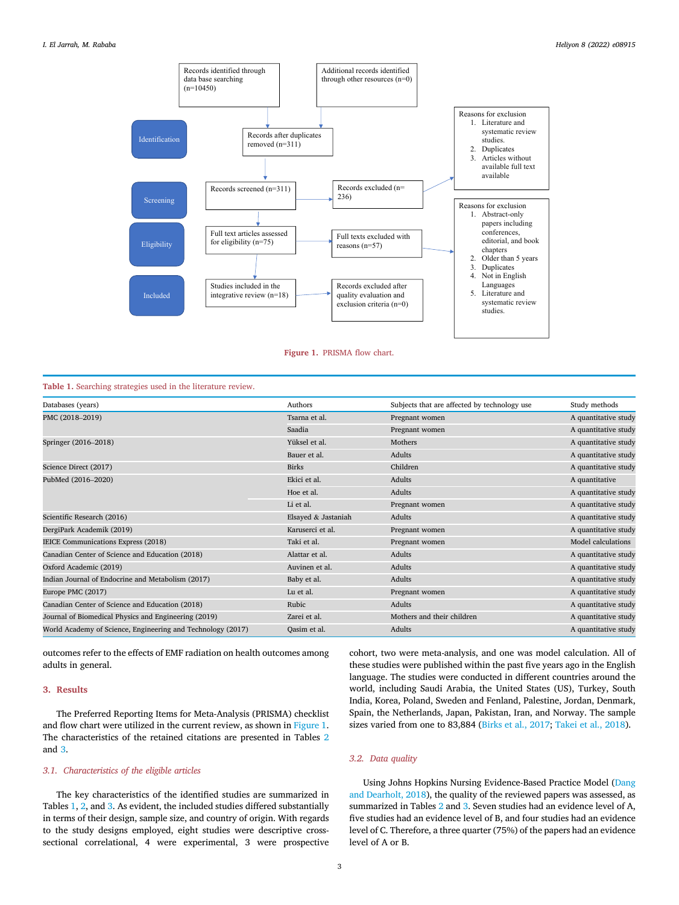<span id="page-2-0"></span>

Figure 1. PRISMA flow chart.

#### <span id="page-2-1"></span>Table 1. Searching strategies used in the literature review.

| Databases (years)                                           | Authors             | Subjects that are affected by technology use | Study methods        |
|-------------------------------------------------------------|---------------------|----------------------------------------------|----------------------|
| PMC (2018-2019)                                             | Tsarna et al.       | Pregnant women                               | A quantitative study |
|                                                             | Saadia              | Pregnant women                               | A quantitative study |
| Springer (2016–2018)                                        | Yüksel et al.       | Mothers                                      | A quantitative study |
|                                                             | Bauer et al.        | Adults                                       | A quantitative study |
| Science Direct (2017)                                       | <b>Birks</b>        | Children                                     | A quantitative study |
| PubMed (2016-2020)                                          | Ekici et al.        | Adults                                       | A quantitative       |
|                                                             | Hoe et al.          | Adults                                       | A quantitative study |
|                                                             | Li et al.           | Pregnant women                               | A quantitative study |
| Scientific Research (2016)                                  | Elsayed & Jastaniah | Adults                                       | A quantitative study |
| DergiPark Academik (2019)                                   | Karuserci et al.    | Pregnant women                               | A quantitative study |
| IEICE Communications Express (2018)                         | Taki et al.         | Pregnant women                               | Model calculations   |
| Canadian Center of Science and Education (2018)             | Alattar et al.      | Adults                                       | A quantitative study |
| Oxford Academic (2019)                                      | Auvinen et al.      | Adults                                       | A quantitative study |
| Indian Journal of Endocrine and Metabolism (2017)           | Baby et al.         | Adults                                       | A quantitative study |
| Europe PMC (2017)                                           | Lu et al.           | Pregnant women                               | A quantitative study |
| Canadian Center of Science and Education (2018)             | Rubic               | Adults                                       | A quantitative study |
| Journal of Biomedical Physics and Engineering (2019)        | Zarei et al.        | Mothers and their children                   | A quantitative study |
| World Academy of Science, Engineering and Technology (2017) | Oasim et al.        | Adults                                       | A quantitative study |

outcomes refer to the effects of EMF radiation on health outcomes among adults in general.

#### 3. Results

The Preferred Reporting Items for Meta-Analysis (PRISMA) checklist and flow chart were utilized in the current review, as shown in [Figure 1.](#page-2-0) The characteristics of the retained citations are presented in Tables [2](#page-3-0) and [3.](#page-4-0)

#### 3.1. Characteristics of the eligible articles

The key characteristics of the identified studies are summarized in Tables [1,](#page-2-1) [2](#page-3-0), and [3.](#page-4-0) As evident, the included studies differed substantially in terms of their design, sample size, and country of origin. With regards to the study designs employed, eight studies were descriptive crosssectional correlational, 4 were experimental, 3 were prospective cohort, two were meta-analysis, and one was model calculation. All of these studies were published within the past five years ago in the English language. The studies were conducted in different countries around the world, including Saudi Arabia, the United States (US), Turkey, South India, Korea, Poland, Sweden and Fenland, Palestine, Jordan, Denmark, Spain, the Netherlands, Japan, Pakistan, Iran, and Norway. The sample sizes varied from one to 83,884 ([Birks et al., 2017;](#page-7-19) [Takei et al., 2018\)](#page-7-12).

#### 3.2. Data quality

Using Johns Hopkins Nursing Evidence-Based Practice Model ([Dang](#page-7-14) [and Dearholt, 2018](#page-7-14)), the quality of the reviewed papers was assessed, as summarized in Tables [2](#page-3-0) and [3.](#page-4-0) Seven studies had an evidence level of A, five studies had an evidence level of B, and four studies had an evidence level of C. Therefore, a three quarter (75%) of the papers had an evidence level of A or B.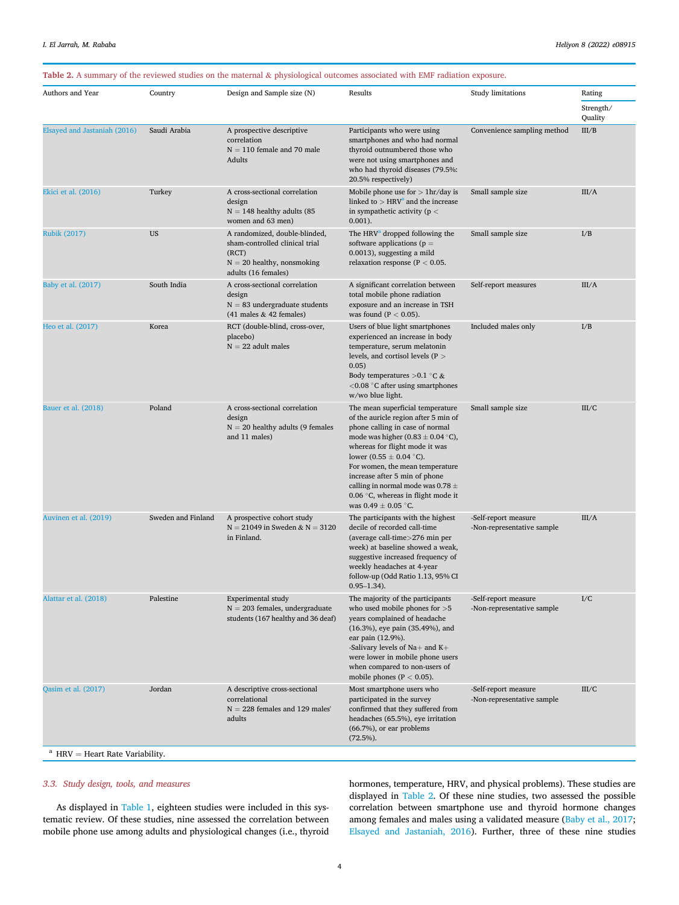#### <span id="page-3-0"></span>Table 2. A summary of the reviewed studies on the maternal & physiological outcomes associated with EMF radiation exposure.

| Country                                            | Design and Sample size (N)                                                                                                      | Results                                                                                                                                                                                                                                                                                                                                                                                                      | <b>Study limitations</b>                           | Rating<br>Strength/ |
|----------------------------------------------------|---------------------------------------------------------------------------------------------------------------------------------|--------------------------------------------------------------------------------------------------------------------------------------------------------------------------------------------------------------------------------------------------------------------------------------------------------------------------------------------------------------------------------------------------------------|----------------------------------------------------|---------------------|
| Saudi Arabia                                       | A prospective descriptive<br>correlation<br>$N = 110$ female and 70 male<br>Adults                                              | Participants who were using<br>smartphones and who had normal<br>thyroid outnumbered those who<br>were not using smartphones and<br>who had thyroid diseases (79.5%:                                                                                                                                                                                                                                         | Convenience sampling method                        | Quality<br>III/B    |
| Turkey                                             | A cross-sectional correlation<br>design<br>$N = 148$ healthy adults (85<br>women and 63 men)                                    | Mobile phone use for $> 1$ hr/day is<br>linked to $>$ HRV <sup>a</sup> and the increase<br>in sympathetic activity ( $p <$<br>$0.001$ ).                                                                                                                                                                                                                                                                     | Small sample size                                  | III/A               |
| <b>US</b>                                          | A randomized, double-blinded,<br>sham-controlled clinical trial<br>(RCT)<br>$N = 20$ healthy, nonsmoking<br>adults (16 females) | The HRV <sup>a</sup> dropped following the<br>software applications ( $p =$<br>0.0013), suggesting a mild<br>relaxation response ( $P < 0.05$ .                                                                                                                                                                                                                                                              | Small sample size                                  | I/B                 |
| South India                                        | A cross-sectional correlation<br>design<br>$N = 83$ undergraduate students<br>$(41$ males & 42 females)                         | A significant correlation between<br>total mobile phone radiation<br>exposure and an increase in TSH<br>was found ( $P < 0.05$ ).                                                                                                                                                                                                                                                                            | Self-report measures                               | III/A               |
| Korea                                              | RCT (double-blind, cross-over,<br>placebo)<br>$N = 22$ adult males                                                              | Users of blue light smartphones<br>experienced an increase in body<br>temperature, serum melatonin<br>levels, and cortisol levels ( $P >$<br>0.05)<br>Body temperatures $>0.1$ °C &<br>$<$ 0.08 °C after using smartphones<br>w/wo blue light.                                                                                                                                                               | Included males only                                | I/B                 |
| Poland                                             | A cross-sectional correlation<br>design<br>$N = 20$ healthy adults (9 females<br>and 11 males)                                  | The mean superficial temperature<br>of the auricle region after 5 min of<br>phone calling in case of normal<br>mode was higher (0.83 $\pm$ 0.04 °C),<br>whereas for flight mode it was<br>lower (0.55 $\pm$ 0.04 °C).<br>For women, the mean temperature<br>increase after 5 min of phone<br>calling in normal mode was $0.78 \pm$<br>0.06 $\degree$ C, whereas in flight mode it<br>was $0.49 \pm 0.05$ °C. | Small sample size                                  | III/C               |
| Sweden and Finland                                 | A prospective cohort study<br>$N = 21049$ in Sweden & $N = 3120$<br>in Finland.                                                 | The participants with the highest<br>decile of recorded call-time<br>(average call-time>276 min per<br>week) at baseline showed a weak,<br>suggestive increased frequency of<br>weekly headaches at 4-year<br>follow-up (Odd Ratio 1.13, 95% CI<br>$0.95 - 1.34$ .                                                                                                                                           | -Self-report measure<br>-Non-representative sample | III/A               |
| Palestine                                          | Experimental study<br>$N = 203$ females, undergraduate<br>students (167 healthy and 36 deaf)                                    | The majority of the participants<br>who used mobile phones for $>5$<br>years complained of headache<br>(16.3%), eye pain (35.49%), and<br>ear pain (12.9%).<br>-Salivary levels of $Na+$ and $K+$<br>were lower in mobile phone users<br>when compared to non-users of<br>mobile phones ( $P < 0.05$ ).                                                                                                      | -Self-report measure<br>-Non-representative sample | I/C                 |
| Jordan<br>$^{\rm a}$ HRV = Heart Rate Variability. | A descriptive cross-sectional<br>correlational<br>$N = 228$ females and 129 males'<br>adults                                    | Most smartphone users who<br>participated in the survey<br>confirmed that they suffered from<br>headaches (65.5%), eye irritation<br>(66.7%), or ear problems<br>$(72.5\%)$ .                                                                                                                                                                                                                                | -Self-report measure<br>-Non-representative sample | III/C               |
|                                                    |                                                                                                                                 |                                                                                                                                                                                                                                                                                                                                                                                                              | 20.5% respectively)                                |                     |

### <span id="page-3-1"></span>3.3. Study design, tools, and measures

As displayed in [Table 1](#page-2-1), eighteen studies were included in this systematic review. Of these studies, nine assessed the correlation between mobile phone use among adults and physiological changes (i.e., thyroid hormones, temperature, HRV, and physical problems). These studies are displayed in [Table 2](#page-3-0). Of these nine studies, two assessed the possible correlation between smartphone use and thyroid hormone changes among females and males using a validated measure ([Baby et al., 2017;](#page-7-20) [Elsayed and Jastaniah, 2016](#page-7-21)). Further, three of these nine studies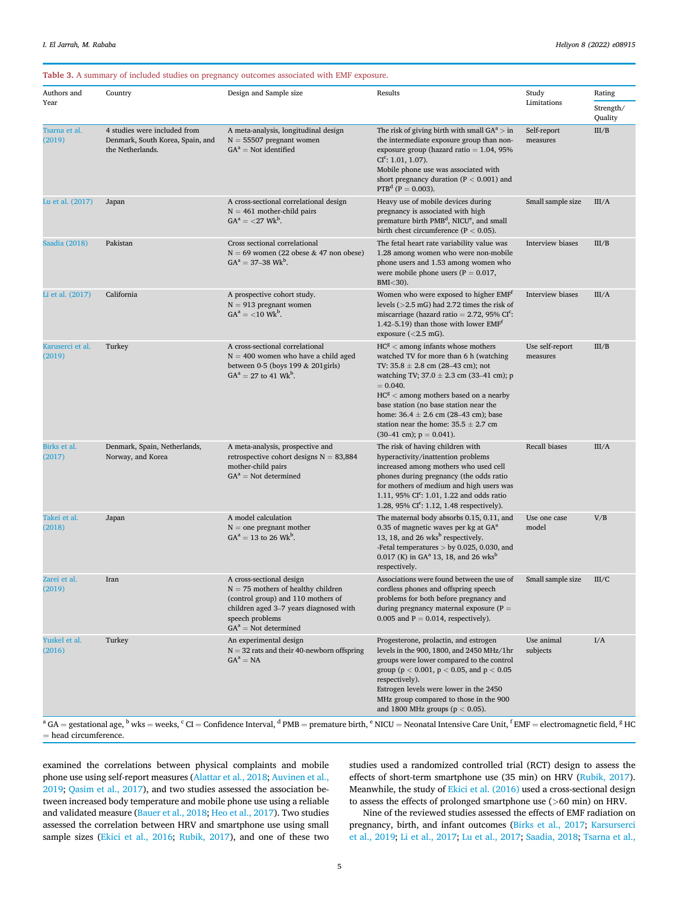#### <span id="page-4-0"></span>Table 3. A summary of included studies on pregnancy outcomes associated with EMF exposure.

|                            | Country                                                                              |                                                                                                                                                                                                       |                                                                                                                                                                                                                                                                                                                                                                                                                                                                                                                                                                                                 |                             |                                |  |
|----------------------------|--------------------------------------------------------------------------------------|-------------------------------------------------------------------------------------------------------------------------------------------------------------------------------------------------------|-------------------------------------------------------------------------------------------------------------------------------------------------------------------------------------------------------------------------------------------------------------------------------------------------------------------------------------------------------------------------------------------------------------------------------------------------------------------------------------------------------------------------------------------------------------------------------------------------|-----------------------------|--------------------------------|--|
| Authors and<br>Year        |                                                                                      | Design and Sample size                                                                                                                                                                                | Results                                                                                                                                                                                                                                                                                                                                                                                                                                                                                                                                                                                         | Study<br>Limitations        | Rating<br>Strength/<br>Quality |  |
| Tsarna et al.<br>(2019)    | 4 studies were included from<br>Denmark, South Korea, Spain, and<br>the Netherlands. | A meta-analysis, longitudinal design<br>$N = 55507$ pregnant women<br>$GA^a = Not$ identified                                                                                                         | The risk of giving birth with small $GA^a > in$<br>the intermediate exposure group than non-<br>exposure group (hazard ratio $= 1.04, 95\%$<br>$CIc: 1.01, 1.07$ ).<br>Mobile phone use was associated with<br>short pregnancy duration ( $P < 0.001$ ) and<br>$PTBd$ (P = 0.003).                                                                                                                                                                                                                                                                                                              | Self-report<br>measures     | III/B                          |  |
| Lu et al. (2017)           | Japan                                                                                | A cross-sectional correlational design<br>$N = 461$ mother-child pairs<br>$GA^a = \langle 27 \text{ Wk}^b \rangle$ .                                                                                  | Heavy use of mobile devices during<br>pregnancy is associated with high<br>premature birth PMB <sup>d</sup> , NICU <sup>e</sup> , and small<br>birth chest circumference ( $P < 0.05$ ).                                                                                                                                                                                                                                                                                                                                                                                                        | Small sample size           | III/A                          |  |
| Saadia (2018)              | Pakistan                                                                             | Cross sectional correlational<br>$N = 69$ women (22 obese & 47 non obese)<br>$GA^a = 37-38$ Wk <sup>b</sup> .                                                                                         | The fetal heart rate variability value was<br>1.28 among women who were non-mobile<br>phone users and 1.53 among women who<br>were mobile phone users ( $P = 0.017$ ,<br>BMI<30).                                                                                                                                                                                                                                                                                                                                                                                                               | Interview biases            | III/B                          |  |
| Li et al. (2017)           | California                                                                           | A prospective cohort study.<br>$N = 913$ pregnant women<br>$GA^a = \langle 10 \text{ Wk}^b \rangle$                                                                                                   | Women who were exposed to higher EMF <sup>t</sup><br>levels $(>2.5 \text{ mG})$ had 2.72 times the risk of<br>miscarriage (hazard ratio = $2.72$ , 95% CI <sup>c</sup> :<br>1.42–5.19) than those with lower $EMFt$<br>exposure $(<2.5$ mG).                                                                                                                                                                                                                                                                                                                                                    | Interview biases            | III/A                          |  |
| Karuserci et al.<br>(2019) | Turkey                                                                               | A cross-sectional correlational<br>$N = 400$ women who have a child aged<br>between 0-5 (boys 199 $& 201$ girls)<br>$GA^a = 27$ to 41 Wk <sup>b</sup> .                                               | $HCg$ < among infants whose mothers<br>watched TV for more than 6 h (watching<br>TV: $35.8 \pm 2.8$ cm (28–43 cm); not<br>watching TV; $37.0 \pm 2.3$ cm (33–41 cm); p<br>$= 0.040.$<br>$HCg$ < among mothers based on a nearby<br>base station (no base station near the<br>home: $36.4 \pm 2.6$ cm (28–43 cm); base<br>station near the home: $35.5 \pm 2.7$ cm<br>$(30-41 \text{ cm})$ ; $p = 0.041$ ).                                                                                                                                                                                      | Use self-report<br>measures | III/B                          |  |
| Birks et al.<br>(2017)     | Denmark, Spain, Netherlands,<br>Norway, and Korea                                    | A meta-analysis, prospective and<br>retrospective cohort designs $N = 83,884$<br>mother-child pairs<br>$GA^a = Not$ determined                                                                        | The risk of having children with<br>hyperactivity/inattention problems<br>increased among mothers who used cell<br>phones during pregnancy (the odds ratio<br>for mothers of medium and high users was<br>1.11, 95% $CIc$ : 1.01, 1.22 and odds ratio<br>1.28, 95% $CI^c: 1.12, 1.48$ respectively).                                                                                                                                                                                                                                                                                            | Recall biases               | III/A                          |  |
| Takei et al.<br>(2018)     | Japan                                                                                | A model calculation<br>$N =$ one pregnant mother<br>$GA^a = 13$ to 26 Wk <sup>b</sup> .                                                                                                               | The maternal body absorbs 0.15, 0.11, and<br>0.35 of magnetic waves per kg at GA <sup>a</sup><br>13, 18, and 26 wks <sup>b</sup> respectively.<br>-Fetal temperatures $>$ by 0.025, 0.030, and<br>0.017 (K) in GA <sup>a</sup> 13, 18, and 26 wks <sup>b</sup><br>respectively.                                                                                                                                                                                                                                                                                                                 | Use one case<br>model       | V/B                            |  |
| Zarei et al.<br>(2019)     | Iran                                                                                 | A cross-sectional design<br>$\mathrm{N}=75$ mothers of healthy children<br>(control group) and 110 mothers of<br>children aged 3-7 years diagnosed with<br>speech problems<br>$GA^a = Not$ determined | Associations were found between the use of<br>cordless phones and offspring speech<br>problems for both before pregnancy and<br>during pregnancy maternal exposure $(P =$<br>0.005 and $P = 0.014$ , respectively).                                                                                                                                                                                                                                                                                                                                                                             | Small sample size           | III/C                          |  |
| Yuskel et al.<br>(2016)    | Turkey                                                                               | An experimental design<br>$N = 32$ rats and their 40-newborn offspring<br>$GA^a = NA$                                                                                                                 | Progesterone, prolactin, and estrogen<br>levels in the 900, 1800, and 2450 MHz/1hr<br>groups were lower compared to the control<br>group ( $p < 0.001$ , $p < 0.05$ , and $p < 0.05$<br>respectively).<br>Estrogen levels were lower in the 2450<br>MHz group compared to those in the 900<br>and 1800 MHz groups ( $p < 0.05$ ).<br>$^{\text{a}}$ GA = gestational age, $^{\text{b}}$ wks = weeks, $^{\text{c}}$ CI = Confidence Interval, $^{\text{d}}$ PMB = premature birth, $^{\text{e}}$ NICU = Neonatal Intensive Care Unit, $^{\text{f}}$ EMF = electromagnetic field, $^{\text{g}}$ HC | Use animal<br>subjects      | I/A                            |  |

<sup>a</sup> GA = gestational age, <sup>b</sup> wks = weeks, <sup>c</sup> CI = Confidence Interval, <sup>d</sup> PMB = premature birth, <sup>e</sup> NICU = Neonatal Intensive Care Unit, <sup>4</sup>  $\mathrm{EMF} =$  electromagnetic field,  $^8$  HC  $=$  head circumference.

examined the correlations between physical complaints and mobile phone use using self-report measures ([Alattar et al., 2018;](#page-7-5) [Auvinen et al.,](#page-7-24) [2019;](#page-7-24) [Qasim et al., 2017](#page-7-25)), and two studies assessed the association between increased body temperature and mobile phone use using a reliable and validated measure ([Bauer et al., 2018;](#page-7-11) [Heo et al., 2017](#page-7-23)). Two studies assessed the correlation between HRV and smartphone use using small sample sizes [\(Ekici et al., 2016;](#page-7-8) [Rubik, 2017\)](#page-7-22), and one of these two studies used a randomized controlled trial (RCT) design to assess the effects of short-term smartphone use (35 min) on HRV ([Rubik, 2017\)](#page-7-22). Meanwhile, the study of [Ekici et al. \(2016\)](#page-7-8) used a cross-sectional design to assess the effects of prolonged smartphone use (>60 min) on HRV.

Nine of the reviewed studies assessed the effects of EMF radiation on pregnancy, birth, and infant outcomes [\(Birks et al., 2017](#page-7-19); [Karsurserci](#page-7-10) [et al., 2019;](#page-7-10) [Li et al., 2017;](#page-7-26) [Lu et al., 2017](#page-7-27); [Saadia, 2018](#page-7-28); [Tsarna et al.,](#page-7-29)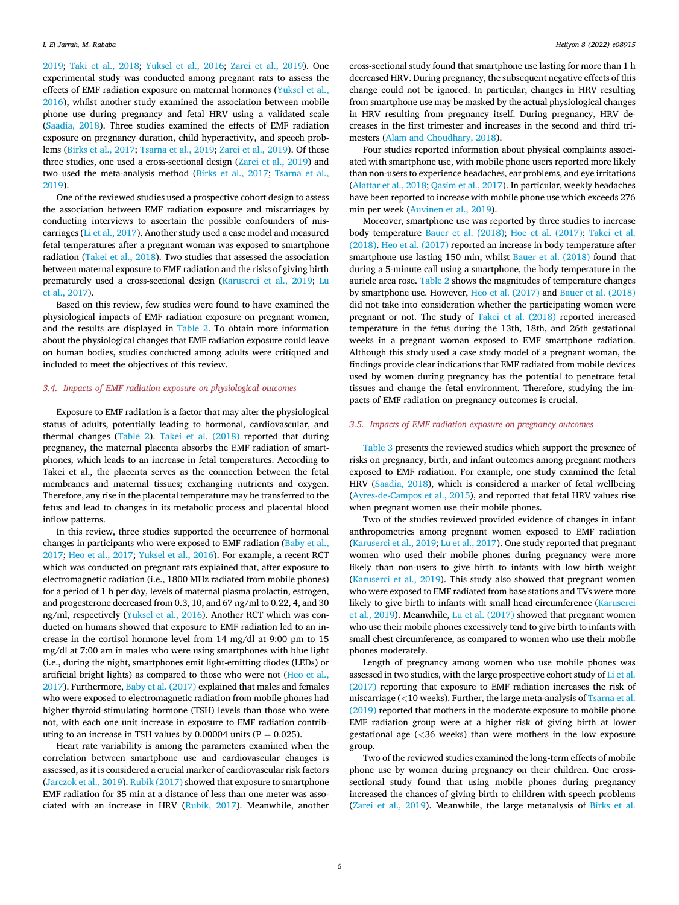[2019;](#page-7-29) [Taki et al., 2018](#page-7-12); [Yuksel et al., 2016;](#page-7-31) [Zarei et al., 2019\)](#page-7-30). One experimental study was conducted among pregnant rats to assess the effects of EMF radiation exposure on maternal hormones [\(Yuksel et al.,](#page-7-31) [2016\)](#page-7-31), whilst another study examined the association between mobile phone use during pregnancy and fetal HRV using a validated scale ([Saadia, 2018](#page-7-28)). Three studies examined the effects of EMF radiation exposure on pregnancy duration, child hyperactivity, and speech problems ([Birks et al., 2017](#page-7-19); [Tsarna et al., 2019](#page-7-29); [Zarei et al., 2019](#page-7-30)). Of these three studies, one used a cross-sectional design [\(Zarei et al., 2019](#page-7-30)) and two used the meta-analysis method [\(Birks et al., 2017;](#page-7-19) [Tsarna et al.,](#page-7-29) [2019\)](#page-7-29).

One of the reviewed studies used a prospective cohort design to assess the association between EMF radiation exposure and miscarriages by conducting interviews to ascertain the possible confounders of miscarriages ([Li et al., 2017](#page-7-26)). Another study used a case model and measured fetal temperatures after a pregnant woman was exposed to smartphone radiation ([Takei et al., 2018\)](#page-7-12). Two studies that assessed the association between maternal exposure to EMF radiation and the risks of giving birth prematurely used a cross-sectional design [\(Karuserci et al., 2019](#page-7-10); [Lu](#page-7-27) [et al., 2017](#page-7-27)).

Based on this review, few studies were found to have examined the physiological impacts of EMF radiation exposure on pregnant women, and the results are displayed in [Table 2.](#page-3-0) To obtain more information about the physiological changes that EMF radiation exposure could leave on human bodies, studies conducted among adults were critiqued and included to meet the objectives of this review.

#### 3.4. Impacts of EMF radiation exposure on physiological outcomes

Exposure to EMF radiation is a factor that may alter the physiological status of adults, potentially leading to hormonal, cardiovascular, and thermal changes [\(Table 2](#page-3-0)). [Takei et al. \(2018\)](#page-7-12) reported that during pregnancy, the maternal placenta absorbs the EMF radiation of smartphones, which leads to an increase in fetal temperatures. According to Takei et al., the placenta serves as the connection between the fetal membranes and maternal tissues; exchanging nutrients and oxygen. Therefore, any rise in the placental temperature may be transferred to the fetus and lead to changes in its metabolic process and placental blood inflow patterns.

In this review, three studies supported the occurrence of hormonal changes in participants who were exposed to EMF radiation ([Baby et al.,](#page-7-20) [2017;](#page-7-20) [Heo et al., 2017](#page-7-23); [Yuksel et al., 2016](#page-7-31)). For example, a recent RCT which was conducted on pregnant rats explained that, after exposure to electromagnetic radiation (i.e., 1800 MHz radiated from mobile phones) for a period of 1 h per day, levels of maternal plasma prolactin, estrogen, and progesterone decreased from 0.3, 10, and 67 ng/ml to 0.22, 4, and 30 ng/ml, respectively [\(Yuksel et al., 2016](#page-7-31)). Another RCT which was conducted on humans showed that exposure to EMF radiation led to an increase in the cortisol hormone level from 14 mg/dl at 9:00 pm to 15 mg/dl at 7:00 am in males who were using smartphones with blue light (i.e., during the night, smartphones emit light-emitting diodes (LEDs) or artificial bright lights) as compared to those who were not ([Heo et al.,](#page-7-23) [2017\)](#page-7-23). Furthermore, [Baby et al. \(2017\)](#page-7-20) explained that males and females who were exposed to electromagnetic radiation from mobile phones had higher thyroid-stimulating hormone (TSH) levels than those who were not, with each one unit increase in exposure to EMF radiation contributing to an increase in TSH values by 0.00004 units ( $P = 0.025$ ).

Heart rate variability is among the parameters examined when the correlation between smartphone use and cardiovascular changes is assessed, as it is considered a crucial marker of cardiovascular risk factors ([Jarczok et al., 2019](#page-7-32)). [Rubik \(2017\)](#page-7-22) showed that exposure to smartphone EMF radiation for 35 min at a distance of less than one meter was associated with an increase in HRV ([Rubik, 2017](#page-7-22)). Meanwhile, another

cross-sectional study found that smartphone use lasting for more than 1 h decreased HRV. During pregnancy, the subsequent negative effects of this change could not be ignored. In particular, changes in HRV resulting from smartphone use may be masked by the actual physiological changes in HRV resulting from pregnancy itself. During pregnancy, HRV decreases in the first trimester and increases in the second and third trimesters [\(Alam and Choudhary, 2018](#page-7-33)).

Four studies reported information about physical complaints associated with smartphone use, with mobile phone users reported more likely than non-users to experience headaches, ear problems, and eye irritations ([Alattar et al., 2018](#page-7-5); [Qasim et al., 2017](#page-7-25)). In particular, weekly headaches have been reported to increase with mobile phone use which exceeds 276 min per week ([Auvinen et al., 2019](#page-7-24)).

Moreover, smartphone use was reported by three studies to increase body temperature [Bauer et al. \(2018\);](#page-7-11) [Hoe et al. \(2017\)](#page-7-23); [Takei et al.](#page-7-12) [\(2018\)](#page-7-12). [Heo et al. \(2017\)](#page-7-23) reported an increase in body temperature after smartphone use lasting 150 min, whilst [Bauer et al. \(2018\)](#page-7-11) found that during a 5-minute call using a smartphone, the body temperature in the auricle area rose. [Table 2](#page-3-0) shows the magnitudes of temperature changes by smartphone use. However, [Heo et al. \(2017\)](#page-7-23) and [Bauer et al. \(2018\)](#page-7-11) did not take into consideration whether the participating women were pregnant or not. The study of [Takei et al. \(2018\)](#page-7-12) reported increased temperature in the fetus during the 13th, 18th, and 26th gestational weeks in a pregnant woman exposed to EMF smartphone radiation. Although this study used a case study model of a pregnant woman, the findings provide clear indications that EMF radiated from mobile devices used by women during pregnancy has the potential to penetrate fetal tissues and change the fetal environment. Therefore, studying the impacts of EMF radiation on pregnancy outcomes is crucial.

#### 3.5. Impacts of EMF radiation exposure on pregnancy outcomes

[Table 3](#page-4-0) presents the reviewed studies which support the presence of risks on pregnancy, birth, and infant outcomes among pregnant mothers exposed to EMF radiation. For example, one study examined the fetal HRV [\(Saadia, 2018\)](#page-7-28), which is considered a marker of fetal wellbeing ([Ayres-de-Campos et al., 2015](#page-7-34)), and reported that fetal HRV values rise when pregnant women use their mobile phones.

Two of the studies reviewed provided evidence of changes in infant anthropometrics among pregnant women exposed to EMF radiation ([Karuserci et al., 2019;](#page-7-10) [Lu et al., 2017\)](#page-7-27). One study reported that pregnant women who used their mobile phones during pregnancy were more likely than non-users to give birth to infants with low birth weight ([Karuserci et al., 2019\)](#page-7-10). This study also showed that pregnant women who were exposed to EMF radiated from base stations and TVs were more likely to give birth to infants with small head circumference ([Karuserci](#page-7-10) [et al., 2019](#page-7-10)). Meanwhile, [Lu et al. \(2017\)](#page-7-27) showed that pregnant women who use their mobile phones excessively tend to give birth to infants with small chest circumference, as compared to women who use their mobile phones moderately.

Length of pregnancy among women who use mobile phones was assessed in two studies, with the large prospective cohort study of [Li et al.](#page-7-26) [\(2017\)](#page-7-26) reporting that exposure to EMF radiation increases the risk of miscarriage (<10 weeks). Further, the large meta-analysis of [Tsarna et al.](#page-7-29) [\(2019\)](#page-7-29) reported that mothers in the moderate exposure to mobile phone EMF radiation group were at a higher risk of giving birth at lower gestational age (<36 weeks) than were mothers in the low exposure group.

Two of the reviewed studies examined the long-term effects of mobile phone use by women during pregnancy on their children. One crosssectional study found that using mobile phones during pregnancy increased the chances of giving birth to children with speech problems ([Zarei et al., 2019](#page-7-30)). Meanwhile, the large metanalysis of [Birks et al.](#page-7-19)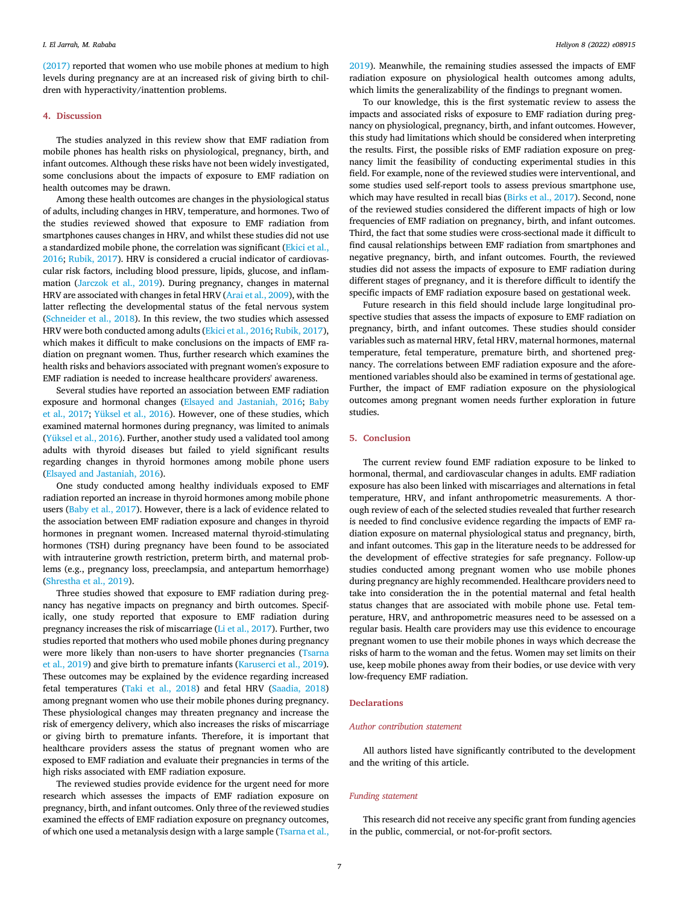[\(2017\)](#page-7-19) reported that women who use mobile phones at medium to high levels during pregnancy are at an increased risk of giving birth to children with hyperactivity/inattention problems.

#### 4. Discussion

The studies analyzed in this review show that EMF radiation from mobile phones has health risks on physiological, pregnancy, birth, and infant outcomes. Although these risks have not been widely investigated, some conclusions about the impacts of exposure to EMF radiation on health outcomes may be drawn.

Among these health outcomes are changes in the physiological status of adults, including changes in HRV, temperature, and hormones. Two of the studies reviewed showed that exposure to EMF radiation from smartphones causes changes in HRV, and whilst these studies did not use a standardized mobile phone, the correlation was significant ([Ekici et al.,](#page-7-8) [2016;](#page-7-8) [Rubik, 2017](#page-7-22)). HRV is considered a crucial indicator of cardiovascular risk factors, including blood pressure, lipids, glucose, and inflammation [\(Jarczok et al., 2019\)](#page-7-32). During pregnancy, changes in maternal HRV are associated with changes in fetal HRV ([Arai et al., 2009](#page-7-35)), with the latter reflecting the developmental status of the fetal nervous system ([Schneider et al., 2018](#page-7-36)). In this review, the two studies which assessed HRV were both conducted among adults [\(Ekici et al., 2016](#page-7-8); [Rubik, 2017\)](#page-7-22), which makes it difficult to make conclusions on the impacts of EMF radiation on pregnant women. Thus, further research which examines the health risks and behaviors associated with pregnant women's exposure to EMF radiation is needed to increase healthcare providers' awareness.

Several studies have reported an association between EMF radiation exposure and hormonal changes [\(Elsayed and Jastaniah, 2016](#page-7-21); [Baby](#page-7-20) [et al., 2017;](#page-7-20) [Yüksel et al., 2016\)](#page-7-31). However, one of these studies, which examined maternal hormones during pregnancy, was limited to animals ([Yüksel et al., 2016\)](#page-7-31). Further, another study used a validated tool among adults with thyroid diseases but failed to yield significant results regarding changes in thyroid hormones among mobile phone users ([Elsayed and Jastaniah, 2016](#page-7-21)).

One study conducted among healthy individuals exposed to EMF radiation reported an increase in thyroid hormones among mobile phone users ([Baby et al., 2017\)](#page-7-20). However, there is a lack of evidence related to the association between EMF radiation exposure and changes in thyroid hormones in pregnant women. Increased maternal thyroid-stimulating hormones (TSH) during pregnancy have been found to be associated with intrauterine growth restriction, preterm birth, and maternal problems (e.g., pregnancy loss, preeclampsia, and antepartum hemorrhage) ([Shrestha et al., 2019\)](#page-7-37).

Three studies showed that exposure to EMF radiation during pregnancy has negative impacts on pregnancy and birth outcomes. Specifically, one study reported that exposure to EMF radiation during pregnancy increases the risk of miscarriage [\(Li et al., 2017](#page-7-26)). Further, two studies reported that mothers who used mobile phones during pregnancy were more likely than non-users to have shorter pregnancies [\(Tsarna](#page-7-29) [et al., 2019\)](#page-7-29) and give birth to premature infants [\(Karuserci et al., 2019\)](#page-7-10). These outcomes may be explained by the evidence regarding increased fetal temperatures ([Taki et al., 2018](#page-7-12)) and fetal HRV ([Saadia, 2018\)](#page-7-28) among pregnant women who use their mobile phones during pregnancy. These physiological changes may threaten pregnancy and increase the risk of emergency delivery, which also increases the risks of miscarriage or giving birth to premature infants. Therefore, it is important that healthcare providers assess the status of pregnant women who are exposed to EMF radiation and evaluate their pregnancies in terms of the high risks associated with EMF radiation exposure.

The reviewed studies provide evidence for the urgent need for more research which assesses the impacts of EMF radiation exposure on pregnancy, birth, and infant outcomes. Only three of the reviewed studies examined the effects of EMF radiation exposure on pregnancy outcomes, of which one used a metanalysis design with a large sample ([Tsarna et al.,](#page-7-29)

[2019\)](#page-7-29). Meanwhile, the remaining studies assessed the impacts of EMF radiation exposure on physiological health outcomes among adults, which limits the generalizability of the findings to pregnant women.

To our knowledge, this is the first systematic review to assess the impacts and associated risks of exposure to EMF radiation during pregnancy on physiological, pregnancy, birth, and infant outcomes. However, this study had limitations which should be considered when interpreting the results. First, the possible risks of EMF radiation exposure on pregnancy limit the feasibility of conducting experimental studies in this field. For example, none of the reviewed studies were interventional, and some studies used self-report tools to assess previous smartphone use, which may have resulted in recall bias [\(Birks et al., 2017](#page-7-19)). Second, none of the reviewed studies considered the different impacts of high or low frequencies of EMF radiation on pregnancy, birth, and infant outcomes. Third, the fact that some studies were cross-sectional made it difficult to find causal relationships between EMF radiation from smartphones and negative pregnancy, birth, and infant outcomes. Fourth, the reviewed studies did not assess the impacts of exposure to EMF radiation during different stages of pregnancy, and it is therefore difficult to identify the specific impacts of EMF radiation exposure based on gestational week.

Future research in this field should include large longitudinal prospective studies that assess the impacts of exposure to EMF radiation on pregnancy, birth, and infant outcomes. These studies should consider variables such as maternal HRV, fetal HRV, maternal hormones, maternal temperature, fetal temperature, premature birth, and shortened pregnancy. The correlations between EMF radiation exposure and the aforementioned variables should also be examined in terms of gestational age. Further, the impact of EMF radiation exposure on the physiological outcomes among pregnant women needs further exploration in future studies.

#### 5. Conclusion

The current review found EMF radiation exposure to be linked to hormonal, thermal, and cardiovascular changes in adults. EMF radiation exposure has also been linked with miscarriages and alternations in fetal temperature, HRV, and infant anthropometric measurements. A thorough review of each of the selected studies revealed that further research is needed to find conclusive evidence regarding the impacts of EMF radiation exposure on maternal physiological status and pregnancy, birth, and infant outcomes. This gap in the literature needs to be addressed for the development of effective strategies for safe pregnancy. Follow-up studies conducted among pregnant women who use mobile phones during pregnancy are highly recommended. Healthcare providers need to take into consideration the in the potential maternal and fetal health status changes that are associated with mobile phone use. Fetal temperature, HRV, and anthropometric measures need to be assessed on a regular basis. Health care providers may use this evidence to encourage pregnant women to use their mobile phones in ways which decrease the risks of harm to the woman and the fetus. Women may set limits on their use, keep mobile phones away from their bodies, or use device with very low-frequency EMF radiation.

#### **Declarations**

#### Author contribution statement

All authors listed have significantly contributed to the development and the writing of this article.

#### Funding statement

This research did not receive any specific grant from funding agencies in the public, commercial, or not-for-profit sectors.